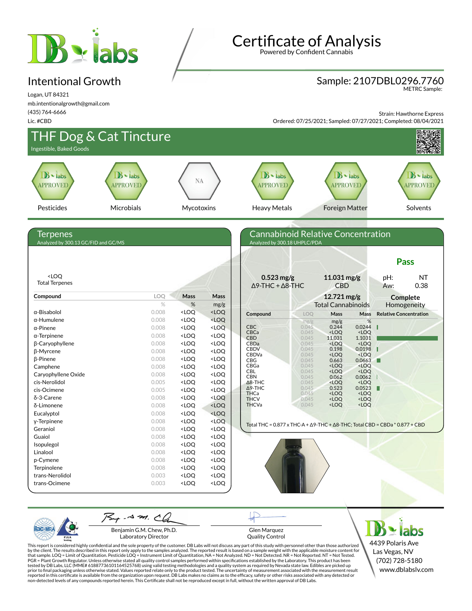

### Intentional Growth

Logan, UT 84321 mb.intentionalgrowth@gmail.com (435) 764-6666

Lic. #CBD

**Certificate of Analysis** 

Powered by Confident Cannabis

# Sample: 2107DBL0296.7760 METRC Sample:

Strain: Hawthorne Express

Ordered: 07/25/2021; Sampled: 07/27/2021; Completed: 08/04/2021



PJL/

Benjamin G.M. Chew, Ph.D. Laboratory Director

Glen Marquez Quality Control

This report is considered highly confidential and the sole property of the customer. DB Labs will not discuss any part of this study with personnel other than those authorized<br>by the client. The results described in this r tested by DB Labs, LLC (MME# 61887736101164525768) using valid testing methodologies and a quality system as required by Nevada state law. Edibles are picked up<br>prior to final packaging unless otherwise stated. Values repo

4439 Polaris Ave Las Vegas, NV (702) 728-5180 www.dblabslv.com